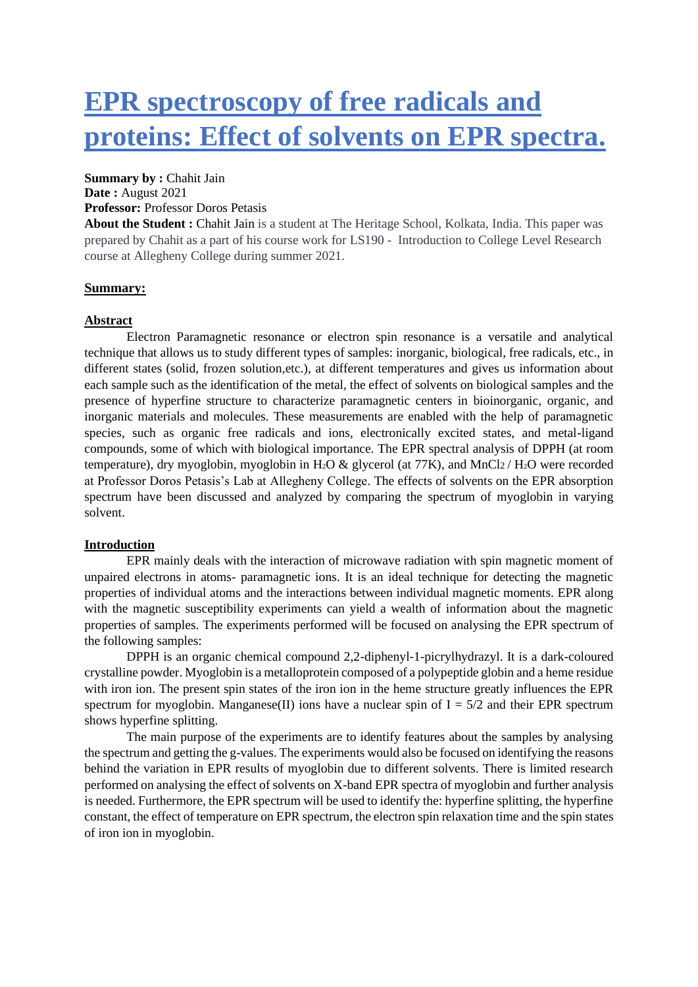# **EPR spectroscopy of free radicals and proteins: Effect of solvents on EPR spectra.**

## **Summary by :** Chahit Jain

**Date :** August 2021

## **Professor:** Professor Doros Petasis

**About the Student :** Chahit Jain is a student at The Heritage School, Kolkata, India. This paper was prepared by Chahit as a part of his course work for LS190 - Introduction to College Level Research course at Allegheny College during summer 2021.

# **Summary:**

## **Abstract**

Electron Paramagnetic resonance or electron spin resonance is a versatile and analytical technique that allows us to study different types of samples: inorganic, biological, free radicals, etc., in different states (solid, frozen solution,etc.), at different temperatures and gives us information about each sample such as the identification of the metal, the effect of solvents on biological samples and the presence of hyperfine structure to characterize paramagnetic centers in bioinorganic, organic, and inorganic materials and molecules. These measurements are enabled with the help of paramagnetic species, such as organic free radicals and ions, electronically excited states, and metal-ligand compounds, some of which with biological importance. The EPR spectral analysis of DPPH (at room temperature), dry myoglobin, myoglobin in H2O & glycerol (at 77K), and MnCl2 / H2O were recorded at Professor Doros Petasis's Lab at Allegheny College. The effects of solvents on the EPR absorption spectrum have been discussed and analyzed by comparing the spectrum of myoglobin in varying solvent.

## **Introduction**

EPR mainly deals with the interaction of microwave radiation with spin magnetic moment of unpaired electrons in atoms- paramagnetic ions. It is an ideal technique for detecting the magnetic properties of individual atoms and the interactions between individual magnetic moments. EPR along with the magnetic susceptibility experiments can yield a wealth of information about the magnetic properties of samples. The experiments performed will be focused on analysing the EPR spectrum of the following samples:

DPPH is an organic chemical compound 2,2-diphenyl-1-picrylhydrazyl. It is a dark-coloured crystalline powder. Myoglobin is a metalloprotein composed of a polypeptide globin and a heme residue with iron ion. The present spin states of the iron ion in the heme structure greatly influences the EPR spectrum for myoglobin. Manganese(II) ions have a nuclear spin of  $I = 5/2$  and their EPR spectrum shows hyperfine splitting.

The main purpose of the experiments are to identify features about the samples by analysing the spectrum and getting the g-values. The experiments would also be focused on identifying the reasons behind the variation in EPR results of myoglobin due to different solvents. There is limited research performed on analysing the effect of solvents on X-band EPR spectra of myoglobin and further analysis is needed. Furthermore, the EPR spectrum will be used to identify the: hyperfine splitting, the hyperfine constant, the effect of temperature on EPR spectrum, the electron spin relaxation time and the spin states of iron ion in myoglobin.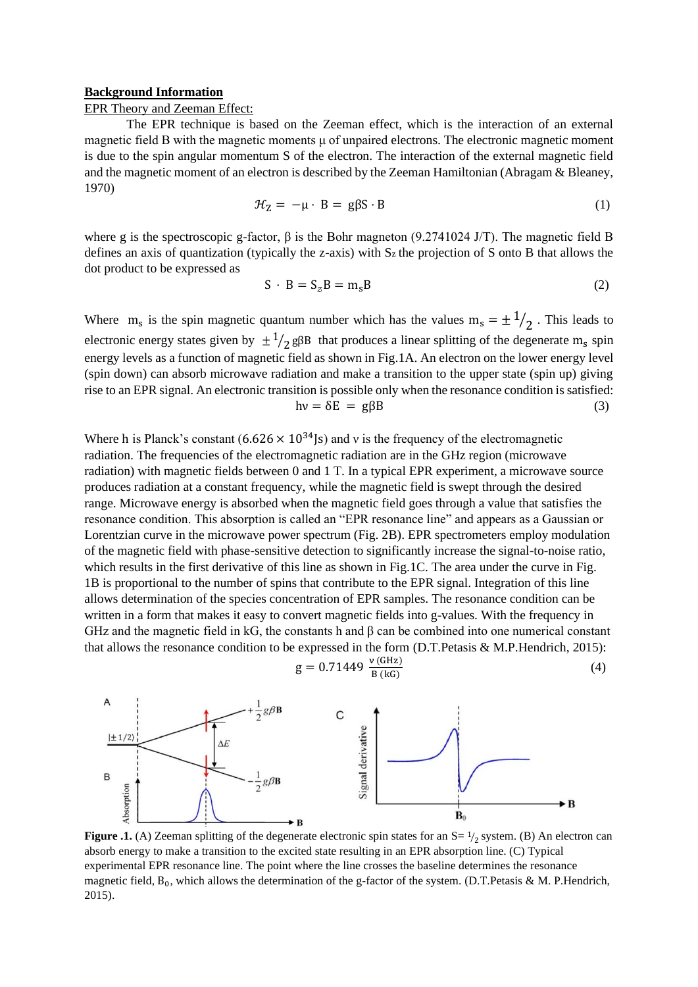#### **Background Information**

# EPR Theory and Zeeman Effect:

The EPR technique is based on the Zeeman effect, which is the interaction of an external magnetic field B with the magnetic moments μ of unpaired electrons. The electronic magnetic moment is due to the spin angular momentum S of the electron. The interaction of the external magnetic field and the magnetic moment of an electron is described by the Zeeman Hamiltonian (Abragam & Bleaney, 1970)

$$
\mathcal{H}_Z = -\mu \cdot B = g\beta S \cdot B \tag{1}
$$

where g is the spectroscopic g-factor, β is the Bohr magneton (9.2741024 J/T). The magnetic field B defines an axis of quantization (typically the z-axis) with  $S_z$  the projection of S onto B that allows the dot product to be expressed as

$$
S \cdot B = S_z B = m_s B \tag{2}
$$

Where  $m_s$  is the spin magnetic quantum number which has the values  $m_s = \pm \frac{1}{2}$ . This leads to electronic energy states given by  $\pm \frac{1}{2}$  g $\beta B$  that produces a linear splitting of the degenerate m<sub>s</sub> spin energy levels as a function of magnetic field as shown in Fig.1A. An electron on the lower energy level (spin down) can absorb microwave radiation and make a transition to the upper state (spin up) giving rise to an EPR signal. An electronic transition is possible only when the resonance condition is satisfied:  $h\nu = \delta E = g\beta B$  (3)

Where h is Planck's constant  $(6.626 \times 10^{34} \text{ s})$  and v is the frequency of the electromagnetic radiation. The frequencies of the electromagnetic radiation are in the GHz region (microwave radiation) with magnetic fields between 0 and 1 T. In a typical EPR experiment, a microwave source produces radiation at a constant frequency, while the magnetic field is swept through the desired range. Microwave energy is absorbed when the magnetic field goes through a value that satisfies the resonance condition. This absorption is called an "EPR resonance line" and appears as a Gaussian or Lorentzian curve in the microwave power spectrum (Fig. 2B). EPR spectrometers employ modulation of the magnetic field with phase-sensitive detection to significantly increase the signal-to-noise ratio, which results in the first derivative of this line as shown in Fig.1C. The area under the curve in Fig. 1B is proportional to the number of spins that contribute to the EPR signal. Integration of this line allows determination of the species concentration of EPR samples. The resonance condition can be written in a form that makes it easy to convert magnetic fields into g-values. With the frequency in GHz and the magnetic field in kG, the constants h and β can be combined into one numerical constant that allows the resonance condition to be expressed in the form (D.T.Petasis & M.P.Hendrich, 2015):

$$
g = 0.71449 \frac{v (GHz)}{B (kG)}
$$
 (4)



**Figure .1.** (A) Zeeman splitting of the degenerate electronic spin states for an  $S = \frac{1}{2}$  system. (B) An electron can absorb energy to make a transition to the excited state resulting in an EPR absorption line. (C) Typical experimental EPR resonance line. The point where the line crosses the baseline determines the resonance magnetic field,  $B_0$ , which allows the determination of the g-factor of the system. (D.T.Petasis & M. P.Hendrich, 2015).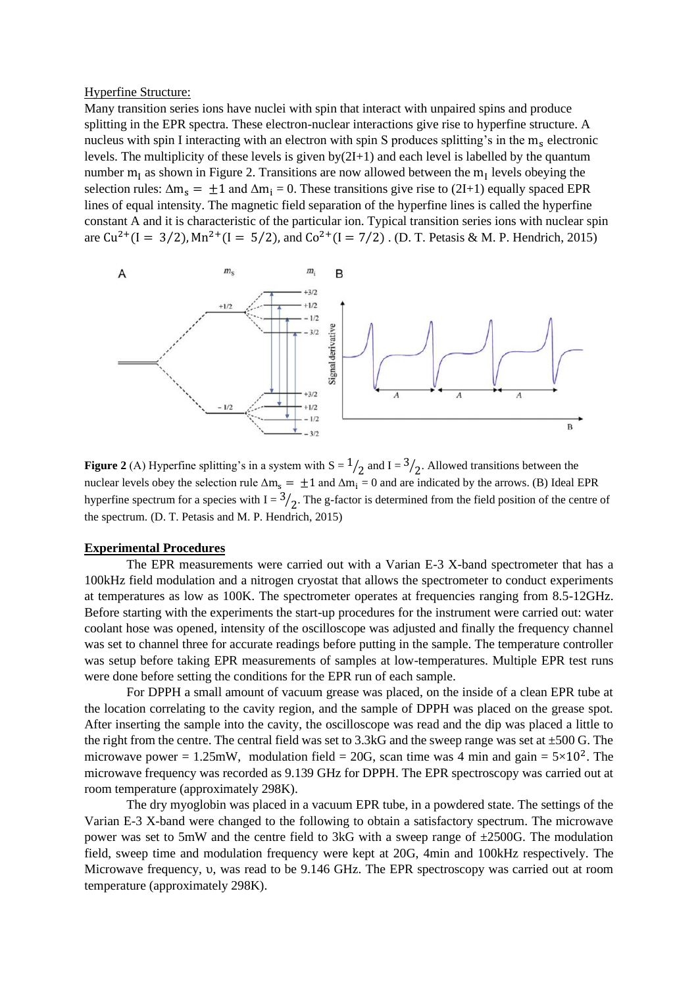Hyperfine Structure:

Many transition series ions have nuclei with spin that interact with unpaired spins and produce splitting in the EPR spectra. These electron-nuclear interactions give rise to hyperfine structure. A nucleus with spin I interacting with an electron with spin S produces splitting's in the m<sub>s</sub> electronic levels. The multiplicity of these levels is given  $by(2I+1)$  and each level is labelled by the quantum number  $m<sub>I</sub>$  as shown in Figure 2. Transitions are now allowed between the  $m<sub>I</sub>$  levels obeying the selection rules:  $\Delta m_s = \pm 1$  and  $\Delta m_i = 0$ . These transitions give rise to (2I+1) equally spaced EPR lines of equal intensity. The magnetic field separation of the hyperfine lines is called the hyperfine constant A and it is characteristic of the particular ion. Typical transition series ions with nuclear spin are  $Cu^{2+}(I = 3/2)$ ,  $Mn^{2+}(I = 5/2)$ , and  $Co^{2+}(I = 7/2)$ . (D. T. Petasis & M. P. Hendrich, 2015)



**Figure 2** (A) Hyperfine splitting's in a system with  $S = \frac{1}{2}$  and  $I = \frac{3}{2}$ . Allowed transitions between the nuclear levels obey the selection rule  $\Delta m_s = \pm 1$  and  $\Delta m_i = 0$  and are indicated by the arrows. (B) Ideal EPR hyperfine spectrum for a species with  $I = \frac{3}{2}$ . The g-factor is determined from the field position of the centre of the spectrum. (D. T. Petasis and M. P. Hendrich, 2015)

## **Experimental Procedures**

The EPR measurements were carried out with a Varian E-3 X-band spectrometer that has a 100kHz field modulation and a nitrogen cryostat that allows the spectrometer to conduct experiments at temperatures as low as 100K. The spectrometer operates at frequencies ranging from 8.5-12GHz. Before starting with the experiments the start-up procedures for the instrument were carried out: water coolant hose was opened, intensity of the oscilloscope was adjusted and finally the frequency channel was set to channel three for accurate readings before putting in the sample. The temperature controller was setup before taking EPR measurements of samples at low-temperatures. Multiple EPR test runs were done before setting the conditions for the EPR run of each sample.

For DPPH a small amount of vacuum grease was placed, on the inside of a clean EPR tube at the location correlating to the cavity region, and the sample of DPPH was placed on the grease spot. After inserting the sample into the cavity, the oscilloscope was read and the dip was placed a little to the right from the centre. The central field was set to 3.3kG and the sweep range was set at  $\pm 500$  G. The microwave power = 1.25mW, modulation field = 20G, scan time was 4 min and gain =  $5 \times 10^2$ . The microwave frequency was recorded as 9.139 GHz for DPPH. The EPR spectroscopy was carried out at room temperature (approximately 298K).

The dry myoglobin was placed in a vacuum EPR tube, in a powdered state. The settings of the Varian E-3 X-band were changed to the following to obtain a satisfactory spectrum. The microwave power was set to 5mW and the centre field to 3kG with a sweep range of  $\pm$ 2500G. The modulation field, sweep time and modulation frequency were kept at 20G, 4min and 100kHz respectively. The Microwave frequency, υ, was read to be 9.146 GHz. The EPR spectroscopy was carried out at room temperature (approximately 298K).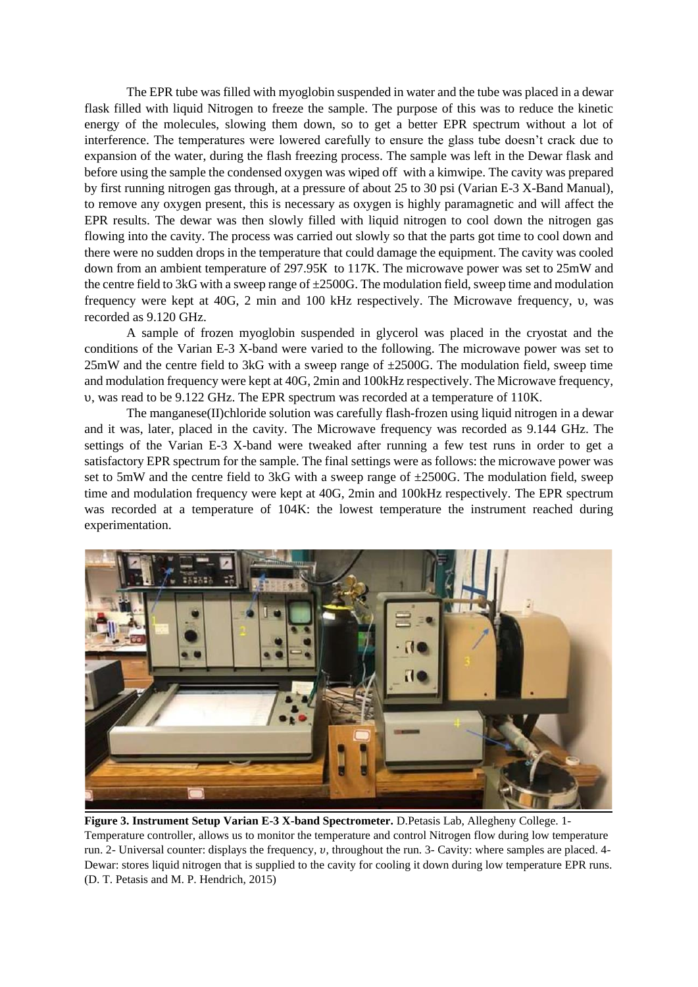The EPR tube was filled with myoglobin suspended in water and the tube was placed in a dewar flask filled with liquid Nitrogen to freeze the sample. The purpose of this was to reduce the kinetic energy of the molecules, slowing them down, so to get a better EPR spectrum without a lot of interference. The temperatures were lowered carefully to ensure the glass tube doesn't crack due to expansion of the water, during the flash freezing process. The sample was left in the Dewar flask and before using the sample the condensed oxygen was wiped off with a kimwipe. The cavity was prepared by first running nitrogen gas through, at a pressure of about 25 to 30 psi (Varian E-3 X-Band Manual), to remove any oxygen present, this is necessary as oxygen is highly paramagnetic and will affect the EPR results. The dewar was then slowly filled with liquid nitrogen to cool down the nitrogen gas flowing into the cavity. The process was carried out slowly so that the parts got time to cool down and there were no sudden drops in the temperature that could damage the equipment. The cavity was cooled down from an ambient temperature of 297.95Κ to 117K. The microwave power was set to 25mW and the centre field to 3kG with a sweep range of  $\pm 2500$ G. The modulation field, sweep time and modulation frequency were kept at 40G, 2 min and 100 kHz respectively. The Microwave frequency, υ, was recorded as 9.120 GHz.

A sample of frozen myoglobin suspended in glycerol was placed in the cryostat and the conditions of the Varian E-3 X-band were varied to the following. The microwave power was set to  $25mW$  and the centre field to 3kG with a sweep range of  $\pm 2500G$ . The modulation field, sweep time and modulation frequency were kept at 40G, 2min and 100kHz respectively. The Microwave frequency, υ, was read to be 9.122 GHz. The EPR spectrum was recorded at a temperature of 110K.

The manganese(II)chloride solution was carefully flash-frozen using liquid nitrogen in a dewar and it was, later, placed in the cavity. The Microwave frequency was recorded as 9.144 GHz. The settings of the Varian E-3 X-band were tweaked after running a few test runs in order to get a satisfactory EPR spectrum for the sample. The final settings were as follows: the microwave power was set to 5mW and the centre field to 3kG with a sweep range of  $\pm$ 2500G. The modulation field, sweep time and modulation frequency were kept at 40G, 2min and 100kHz respectively. The EPR spectrum was recorded at a temperature of 104K: the lowest temperature the instrument reached during experimentation.



**Figure 3. Instrument Setup Varian E-3 X-band Spectrometer.** D.Petasis Lab, Allegheny College. 1- Temperature controller, allows us to monitor the temperature and control Nitrogen flow during low temperature run. 2- Universal counter: displays the frequency, v, throughout the run. 3- Cavity: where samples are placed. 4-Dewar: stores liquid nitrogen that is supplied to the cavity for cooling it down during low temperature EPR runs. (D. T. Petasis and M. P. Hendrich, 2015)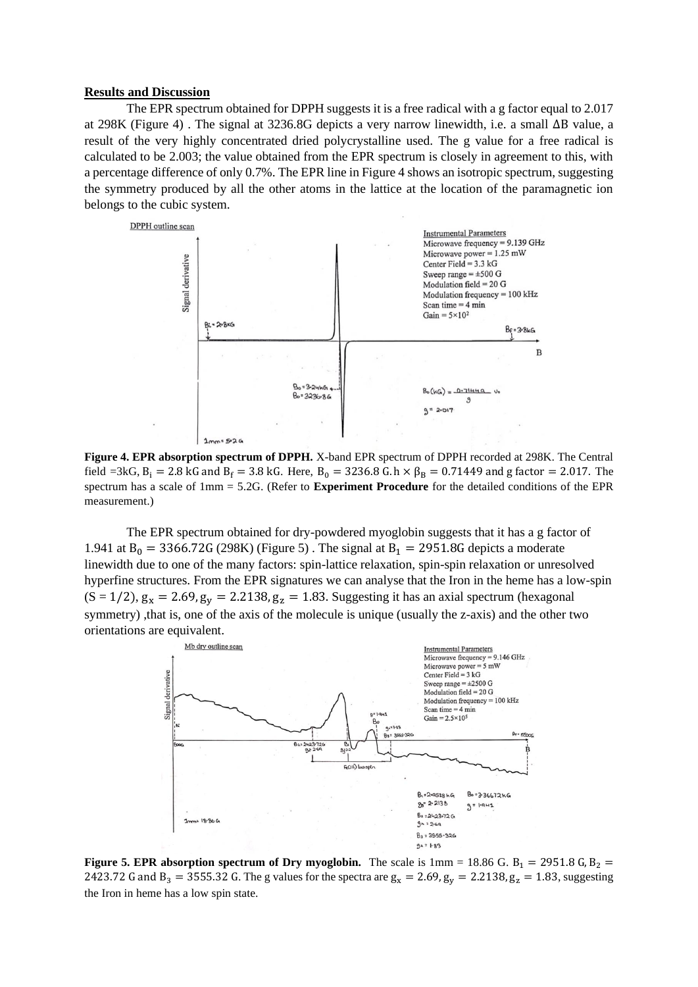#### **Results and Discussion**

The EPR spectrum obtained for DPPH suggests it is a free radical with a g factor equal to 2.017 at 298K (Figure 4) . The signal at 3236.8G depicts a very narrow linewidth, i.e. a small ∆B value, a result of the very highly concentrated dried polycrystalline used. The g value for a free radical is calculated to be 2.003; the value obtained from the EPR spectrum is closely in agreement to this, with a percentage difference of only 0.7%. The EPR line in Figure 4 shows an isotropic spectrum, suggesting the symmetry produced by all the other atoms in the lattice at the location of the paramagnetic ion belongs to the cubic system.



**Figure 4. EPR absorption spectrum of DPPH.** X-band EPR spectrum of DPPH recorded at 298K. The Central field =3kG,  $B_i = 2.8$  kG and  $B_f = 3.8$  kG. Here,  $B_0 = 3236.8$  G. h  $\times \beta_B = 0.71449$  and g factor = 2.017. The spectrum has a scale of 1mm = 5.2G. (Refer to **Experiment Procedure** for the detailed conditions of the EPR measurement.)

The EPR spectrum obtained for dry-powdered myoglobin suggests that it has a g factor of 1.941 at  $B_0 = 3366.72G$  (298K) (Figure 5). The signal at  $B_1 = 2951.8G$  depicts a moderate linewidth due to one of the many factors: spin-lattice relaxation, spin-spin relaxation or unresolved hyperfine structures. From the EPR signatures we can analyse that the Iron in the heme has a low-spin  $(S = 1/2)$ ,  $g_x = 2.69$ ,  $g_y = 2.2138$ ,  $g_z = 1.83$ . Suggesting it has an axial spectrum (hexagonal symmetry), that is, one of the axis of the molecule is unique (usually the z-axis) and the other two orientations are equivalent.



**Figure 5. EPR absorption spectrum of Dry myoglobin.** The scale is  $1 \text{mm} = 18.86 \text{ G}$ .  $B_1 = 2951.8 \text{ G}$ ,  $B_2 =$ 2423.72 G and B<sub>3</sub> = 3555.32 G. The g values for the spectra are  $g_x = 2.69$ ,  $g_y = 2.2138$ ,  $g_z = 1.83$ , suggesting the Iron in heme has a low spin state.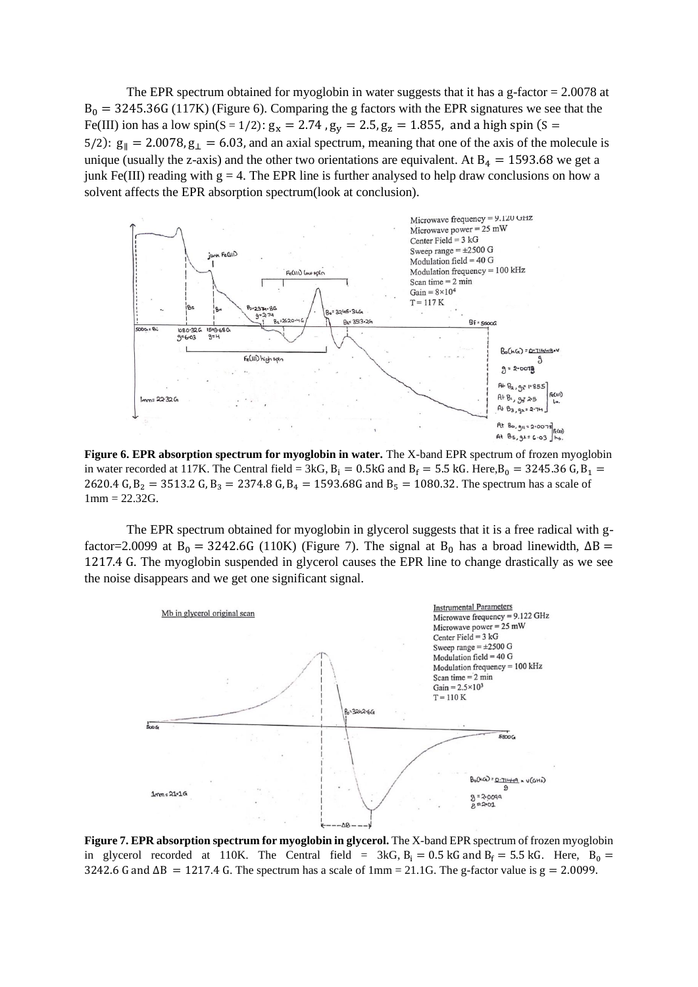The EPR spectrum obtained for myoglobin in water suggests that it has a g-factor  $= 2.0078$  at  $B_0 = 3245.36G (117K)$  (Figure 6). Comparing the g factors with the EPR signatures we see that the Fe(III) ion has a low spin(S = 1/2):  $g_x = 2.74$ ,  $g_y = 2.5$ ,  $g_z = 1.855$ , and a high spin (S = 5/2):  $g_{\parallel} = 2.0078$ ,  $g_{\perp} = 6.03$ , and an axial spectrum, meaning that one of the axis of the molecule is unique (usually the z-axis) and the other two orientations are equivalent. At  $B_4 = 1593.68$  we get a junk Fe(III) reading with  $g = 4$ . The EPR line is further analysed to help draw conclusions on how a solvent affects the EPR absorption spectrum(look at conclusion).



**Figure 6. EPR absorption spectrum for myoglobin in water.** The X-band EPR spectrum of frozen myoglobin in water recorded at 117K. The Central field = 3kG,  $B_i = 0.5kG$  and  $B_f = 5.5kG$ . Here, $B_0 = 3245.36$  G,  $B_1 = 0.5kG$ 2620.4 G,  $B_2 = 3513.2$  G,  $B_3 = 2374.8$  G,  $B_4 = 1593.68$ G and  $B_5 = 1080.32$ . The spectrum has a scale of  $1mm = 22.32G.$ 

The EPR spectrum obtained for myoglobin in glycerol suggests that it is a free radical with gfactor=2.0099 at B<sub>0</sub> = 3242.6G (110K) (Figure 7). The signal at B<sub>0</sub> has a broad linewidth,  $\Delta B$  = 1217.4 G. The myoglobin suspended in glycerol causes the EPR line to change drastically as we see the noise disappears and we get one significant signal.



**Figure 7. EPR absorption spectrum for myoglobin in glycerol.** The X-band EPR spectrum of frozen myoglobin in glycerol recorded at 110K. The Central field =  $3kG$ ,  $B_i = 0.5$  kG and  $B_f = 5.5$  kG. Here,  $B_0 =$ 3242.6 G and  $\Delta B = 1217.4$  G. The spectrum has a scale of 1mm = 21.1G. The g-factor value is  $g = 2.0099$ .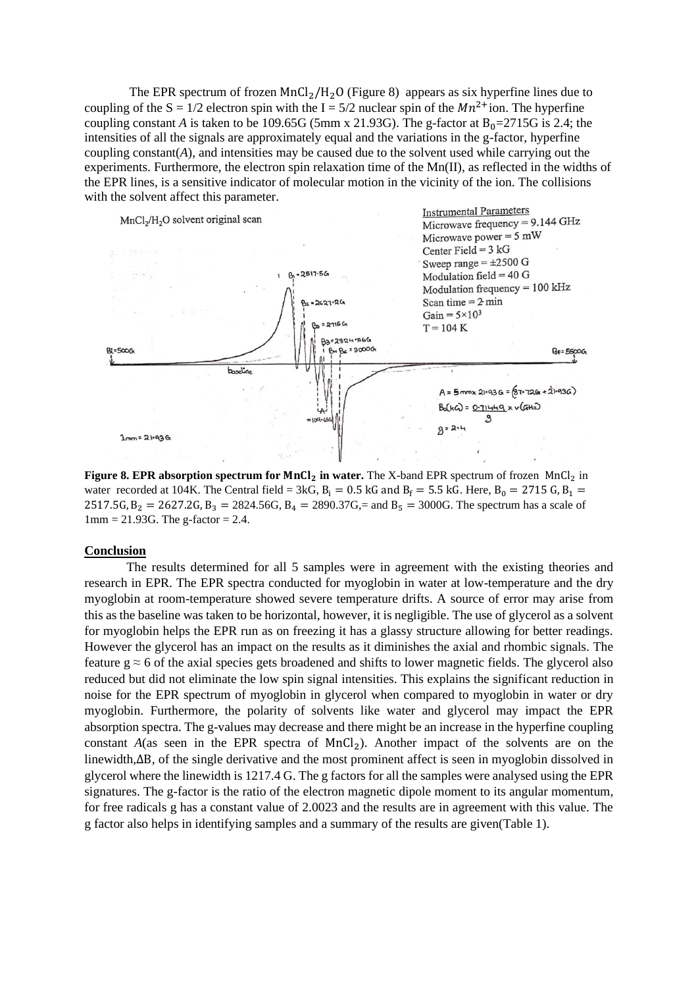The EPR spectrum of frozen  $MnCl<sub>2</sub>/H<sub>2</sub>O$  (Figure 8) appears as six hyperfine lines due to coupling of the  $S = 1/2$  electron spin with the  $I = 5/2$  nuclear spin of the  $Mn^{2+}$ ion. The hyperfine coupling constant *A* is taken to be 109.65G (5mm x 21.93G). The g-factor at  $B_0 = 2715G$  is 2.4; the intensities of all the signals are approximately equal and the variations in the g-factor, hyperfine coupling constant(*A*)*,* and intensities may be caused due to the solvent used while carrying out the experiments. Furthermore, the electron spin relaxation time of the  $Mn(II)$ , as reflected in the widths of the EPR lines, is a sensitive indicator of molecular motion in the vicinity of the ion. The collisions with the solvent affect this parameter.



**Figure 8. EPR absorption spectrum for MnCl<sub>2</sub> in water.** The X-band EPR spectrum of frozen MnCl<sub>2</sub> in water recorded at 104K. The Central field = 3kG,  $B_i = 0.5$  kG and  $B_f = 5.5$  kG. Here,  $B_0 = 2715$  G,  $B_1 =$ 2517.5G,  $B_2 = 2627.2$ G,  $B_3 = 2824.56$ G,  $B_4 = 2890.37$ G, = and  $B_5 = 3000$ G. The spectrum has a scale of  $1 \text{mm} = 21.93 \text{G}$ . The g-factor = 2.4.

#### **Conclusion**

The results determined for all 5 samples were in agreement with the existing theories and research in EPR. The EPR spectra conducted for myoglobin in water at low-temperature and the dry myoglobin at room-temperature showed severe temperature drifts. A source of error may arise from this as the baseline was taken to be horizontal, however, it is negligible. The use of glycerol as a solvent for myoglobin helps the EPR run as on freezing it has a glassy structure allowing for better readings. However the glycerol has an impact on the results as it diminishes the axial and rhombic signals. The feature  $g \approx 6$  of the axial species gets broadened and shifts to lower magnetic fields. The glycerol also reduced but did not eliminate the low spin signal intensities. This explains the significant reduction in noise for the EPR spectrum of myoglobin in glycerol when compared to myoglobin in water or dry myoglobin. Furthermore, the polarity of solvents like water and glycerol may impact the EPR absorption spectra. The g-values may decrease and there might be an increase in the hyperfine coupling constant  $A$ (as seen in the EPR spectra of  $MnCl<sub>2</sub>$ ). Another impact of the solvents are on the linewidth,∆B, of the single derivative and the most prominent affect is seen in myoglobin dissolved in glycerol where the linewidth is 1217.4 G. The g factors for all the samples were analysed using the EPR signatures. The g-factor is the ratio of the electron magnetic dipole moment to its angular momentum, for free radicals g has a constant value of 2.0023 and the results are in agreement with this value. The g factor also helps in identifying samples and a summary of the results are given(Table 1).